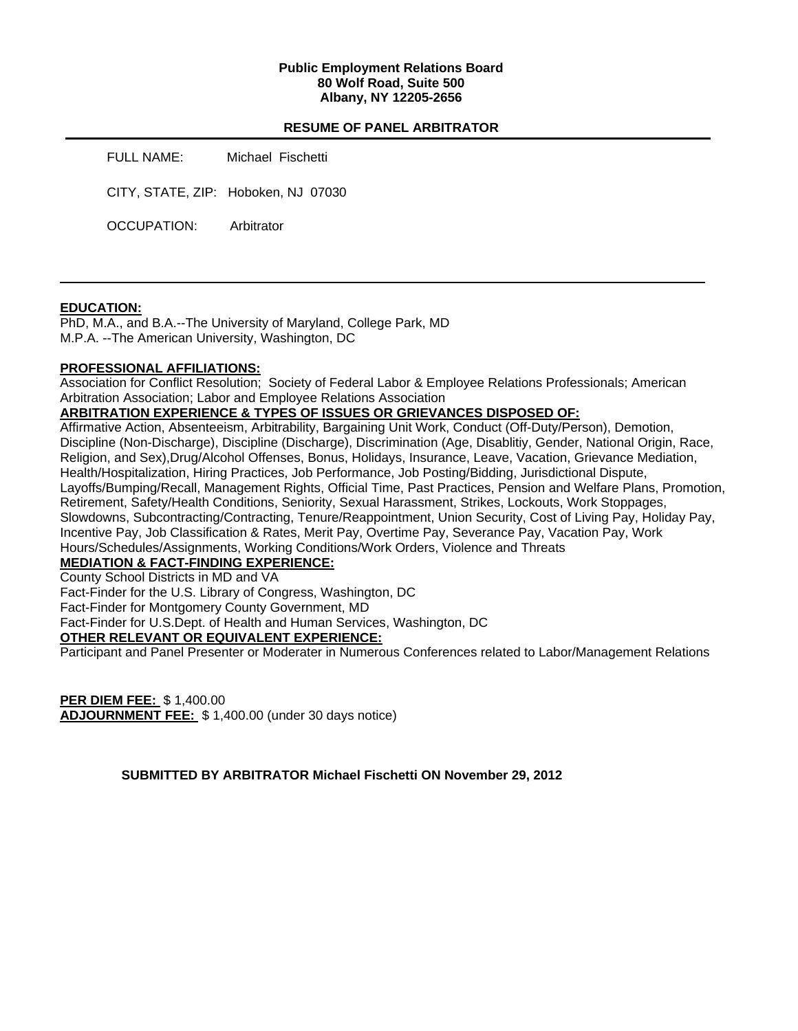## **Public Employment Relations Board 80 Wolf Road, Suite 500 Albany, NY 12205-2656**

## **RESUME OF PANEL ARBITRATOR**

FULL NAME: Michael Fischetti

CITY, STATE, ZIP: Hoboken, NJ 07030

OCCUPATION: Arbitrator

## **EDUCATION:**

PhD, M.A., and B.A.--The University of Maryland, College Park, MD M.P.A. --The American University, Washington, DC

## **PROFESSIONAL AFFILIATIONS:**

Association for Conflict Resolution; Society of Federal Labor & Employee Relations Professionals; American Arbitration Association; Labor and Employee Relations Association

# **ARBITRATION EXPERIENCE & TYPES OF ISSUES OR GRIEVANCES DISPOSED OF:**

Affirmative Action, Absenteeism, Arbitrability, Bargaining Unit Work, Conduct (Off-Duty/Person), Demotion, Discipline (Non-Discharge), Discipline (Discharge), Discrimination (Age, Disablitiy, Gender, National Origin, Race, Religion, and Sex),Drug/Alcohol Offenses, Bonus, Holidays, Insurance, Leave, Vacation, Grievance Mediation, Health/Hospitalization, Hiring Practices, Job Performance, Job Posting/Bidding, Jurisdictional Dispute, Layoffs/Bumping/Recall, Management Rights, Official Time, Past Practices, Pension and Welfare Plans, Promotion, Retirement, Safety/Health Conditions, Seniority, Sexual Harassment, Strikes, Lockouts, Work Stoppages, Slowdowns, Subcontracting/Contracting, Tenure/Reappointment, Union Security, Cost of Living Pay, Holiday Pay, Incentive Pay, Job Classification & Rates, Merit Pay, Overtime Pay, Severance Pay, Vacation Pay, Work Hours/Schedules/Assignments, Working Conditions/Work Orders, Violence and Threats

# **MEDIATION & FACT-FINDING EXPERIENCE:**

County School Districts in MD and VA

Fact-Finder for the U.S. Library of Congress, Washington, DC

Fact-Finder for Montgomery County Government, MD

Fact-Finder for U.S.Dept. of Health and Human Services, Washington, DC

## **OTHER RELEVANT OR EQUIVALENT EXPERIENCE:**

Participant and Panel Presenter or Moderater in Numerous Conferences related to Labor/Management Relations

**PER DIEM FEE:** \$ 1,400.00 **ADJOURNMENT FEE:** \$ 1,400.00 (under 30 days notice)

**SUBMITTED BY ARBITRATOR Michael Fischetti ON November 29, 2012**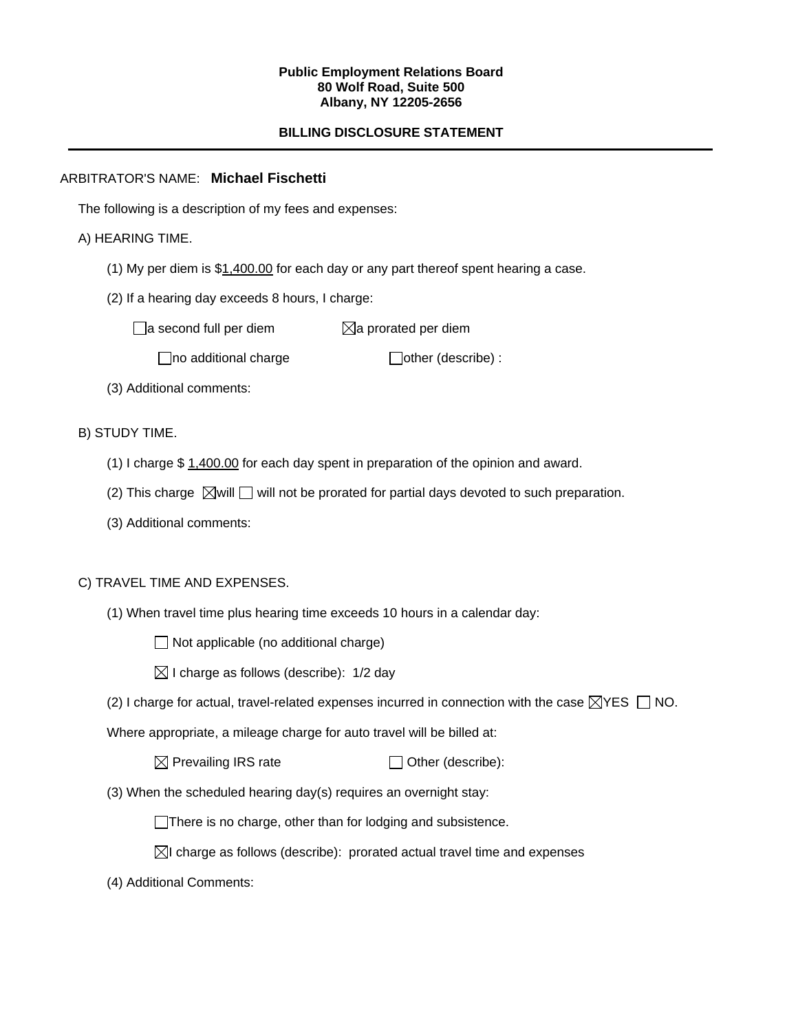#### **Public Employment Relations Board 80 Wolf Road, Suite 500 Albany, NY 12205-2656**

# **BILLING DISCLOSURE STATEMENT**

# ARBITRATOR'S NAME: **Michael Fischetti**

The following is a description of my fees and expenses:

## A) HEARING TIME.

- (1) My per diem is \$1,400.00 for each day or any part thereof spent hearing a case.
- (2) If a hearing day exceeds 8 hours, I charge:

 $\Box$ a second full per diem  $\boxtimes$ a prorated per diem

 $\Box$ no additional charge  $\Box$ other (describe) :

(3) Additional comments:

B) STUDY TIME.

- (1) I charge \$ 1,400.00 for each day spent in preparation of the opinion and award.
- (2) This charge  $\boxtimes$  will  $\Box$  will not be prorated for partial days devoted to such preparation.
- (3) Additional comments:

## C) TRAVEL TIME AND EXPENSES.

(1) When travel time plus hearing time exceeds 10 hours in a calendar day:

 $\Box$  Not applicable (no additional charge)

- $\boxtimes$  I charge as follows (describe): 1/2 day
- (2) I charge for actual, travel-related expenses incurred in connection with the case  $\boxtimes$ YES  $\Box$  NO.

Where appropriate, a mileage charge for auto travel will be billed at:

 $\boxtimes$  Prevailing IRS rate  $\Box$  Other (describe):

(3) When the scheduled hearing day(s) requires an overnight stay:

There is no charge, other than for lodging and subsistence.

- $\boxtimes$ I charge as follows (describe): prorated actual travel time and expenses
- (4) Additional Comments: